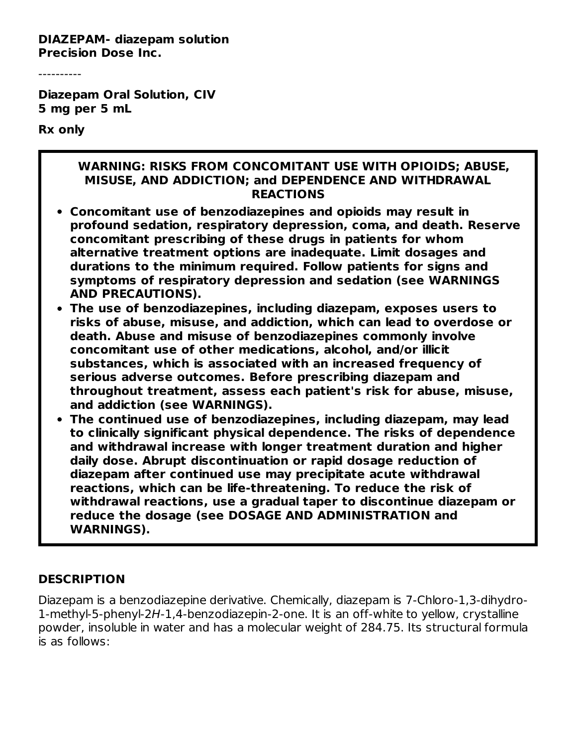**DIAZEPAM- diazepam solution Precision Dose Inc.**

----------

**Diazepam Oral Solution, CIV 5 mg per 5 mL**

**Rx only**

#### **WARNING: RISKS FROM CONCOMITANT USE WITH OPIOIDS; ABUSE, MISUSE, AND ADDICTION; and DEPENDENCE AND WITHDRAWAL REACTIONS**

- **Concomitant use of benzodiazepines and opioids may result in profound sedation, respiratory depression, coma, and death. Reserve concomitant prescribing of these drugs in patients for whom alternative treatment options are inadequate. Limit dosages and durations to the minimum required. Follow patients for signs and symptoms of respiratory depression and sedation (see WARNINGS AND PRECAUTIONS).**
- **The use of benzodiazepines, including diazepam, exposes users to risks of abuse, misuse, and addiction, which can lead to overdose or death. Abuse and misuse of benzodiazepines commonly involve concomitant use of other medications, alcohol, and/or illicit substances, which is associated with an increased frequency of serious adverse outcomes. Before prescribing diazepam and throughout treatment, assess each patient's risk for abuse, misuse, and addiction (see WARNINGS).**
- **The continued use of benzodiazepines, including diazepam, may lead to clinically significant physical dependence. The risks of dependence and withdrawal increase with longer treatment duration and higher daily dose. Abrupt discontinuation or rapid dosage reduction of diazepam after continued use may precipitate acute withdrawal reactions, which can be life-threatening. To reduce the risk of withdrawal reactions, use a gradual taper to discontinue diazepam or reduce the dosage (see DOSAGE AND ADMINISTRATION and WARNINGS).**

#### **DESCRIPTION**

Diazepam is a benzodiazepine derivative. Chemically, diazepam is 7-Chloro-1,3-dihydro-1-methyl-5-phenyl-2H-1,4-benzodiazepin-2-one. It is an off-white to yellow, crystalline powder, insoluble in water and has a molecular weight of 284.75. Its structural formula is as follows: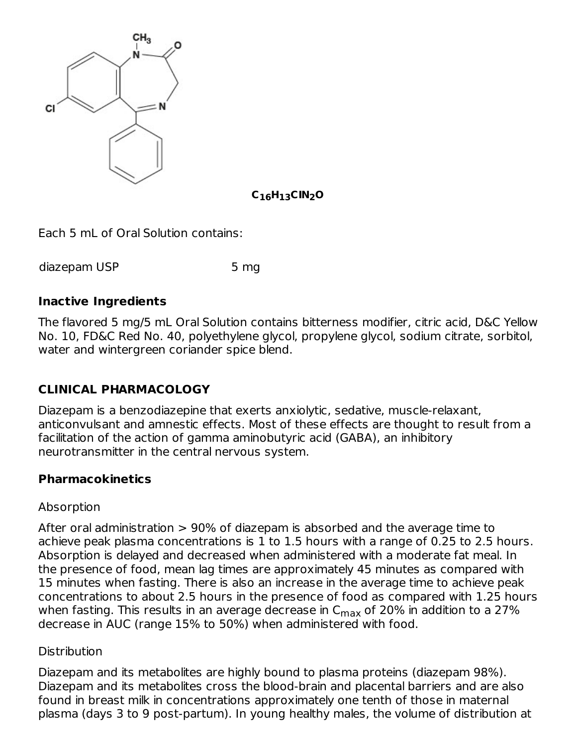

**C H CIN O 16 13 2**

Each 5 mL of Oral Solution contains:

diazepam USP 5 mg

#### **Inactive Ingredients**

The flavored 5 mg/5 mL Oral Solution contains bitterness modifier, citric acid, D&C Yellow No. 10, FD&C Red No. 40, polyethylene glycol, propylene glycol, sodium citrate, sorbitol, water and wintergreen coriander spice blend.

### **CLINICAL PHARMACOLOGY**

Diazepam is a benzodiazepine that exerts anxiolytic, sedative, muscle-relaxant, anticonvulsant and amnestic effects. Most of these effects are thought to result from a facilitation of the action of gamma aminobutyric acid (GABA), an inhibitory neurotransmitter in the central nervous system.

#### **Pharmacokinetics**

#### Absorption

After oral administration > 90% of diazepam is absorbed and the average time to achieve peak plasma concentrations is 1 to 1.5 hours with a range of 0.25 to 2.5 hours. Absorption is delayed and decreased when administered with a moderate fat meal. In the presence of food, mean lag times are approximately 45 minutes as compared with 15 minutes when fasting. There is also an increase in the average time to achieve peak concentrations to about 2.5 hours in the presence of food as compared with 1.25 hours when fasting. This results in an average decrease in  $\mathsf{C}_{\mathsf{max}}$  of 20% in addition to a 27% decrease in AUC (range 15% to 50%) when administered with food.

#### **Distribution**

Diazepam and its metabolites are highly bound to plasma proteins (diazepam 98%). Diazepam and its metabolites cross the blood-brain and placental barriers and are also found in breast milk in concentrations approximately one tenth of those in maternal plasma (days 3 to 9 post-partum). In young healthy males, the volume of distribution at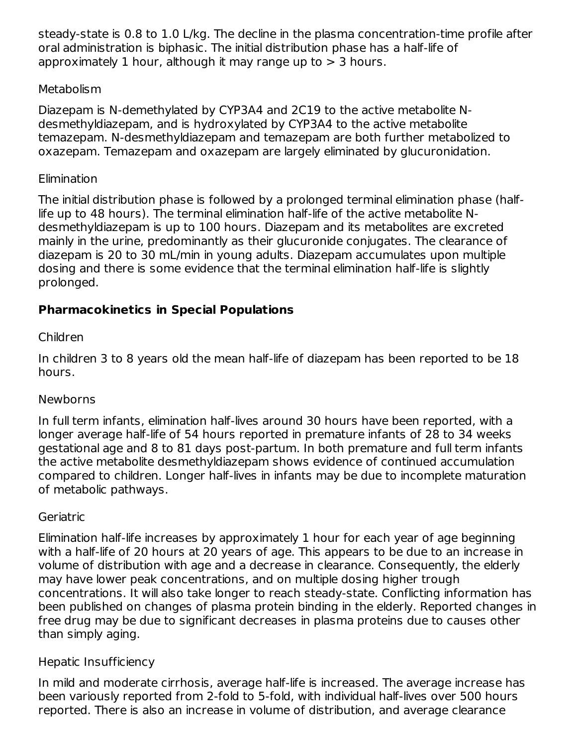steady-state is 0.8 to 1.0 L/kg. The decline in the plasma concentration-time profile after oral administration is biphasic. The initial distribution phase has a half-life of approximately 1 hour, although it may range up to  $> 3$  hours.

#### **Metabolism**

Diazepam is N-demethylated by CYP3A4 and 2C19 to the active metabolite Ndesmethyldiazepam, and is hydroxylated by CYP3A4 to the active metabolite temazepam. N-desmethyldiazepam and temazepam are both further metabolized to oxazepam. Temazepam and oxazepam are largely eliminated by glucuronidation.

#### **Elimination**

The initial distribution phase is followed by a prolonged terminal elimination phase (halflife up to 48 hours). The terminal elimination half-life of the active metabolite Ndesmethyldiazepam is up to 100 hours. Diazepam and its metabolites are excreted mainly in the urine, predominantly as their glucuronide conjugates. The clearance of diazepam is 20 to 30 mL/min in young adults. Diazepam accumulates upon multiple dosing and there is some evidence that the terminal elimination half-life is slightly prolonged.

## **Pharmacokinetics in Special Populations**

### Children

In children 3 to 8 years old the mean half-life of diazepam has been reported to be 18 hours.

### Newborns

In full term infants, elimination half-lives around 30 hours have been reported, with a longer average half-life of 54 hours reported in premature infants of 28 to 34 weeks gestational age and 8 to 81 days post-partum. In both premature and full term infants the active metabolite desmethyldiazepam shows evidence of continued accumulation compared to children. Longer half-lives in infants may be due to incomplete maturation of metabolic pathways.

### Geriatric

Elimination half-life increases by approximately 1 hour for each year of age beginning with a half-life of 20 hours at 20 years of age. This appears to be due to an increase in volume of distribution with age and a decrease in clearance. Consequently, the elderly may have lower peak concentrations, and on multiple dosing higher trough concentrations. It will also take longer to reach steady-state. Conflicting information has been published on changes of plasma protein binding in the elderly. Reported changes in free drug may be due to significant decreases in plasma proteins due to causes other than simply aging.

### Hepatic Insufficiency

In mild and moderate cirrhosis, average half-life is increased. The average increase has been variously reported from 2-fold to 5-fold, with individual half-lives over 500 hours reported. There is also an increase in volume of distribution, and average clearance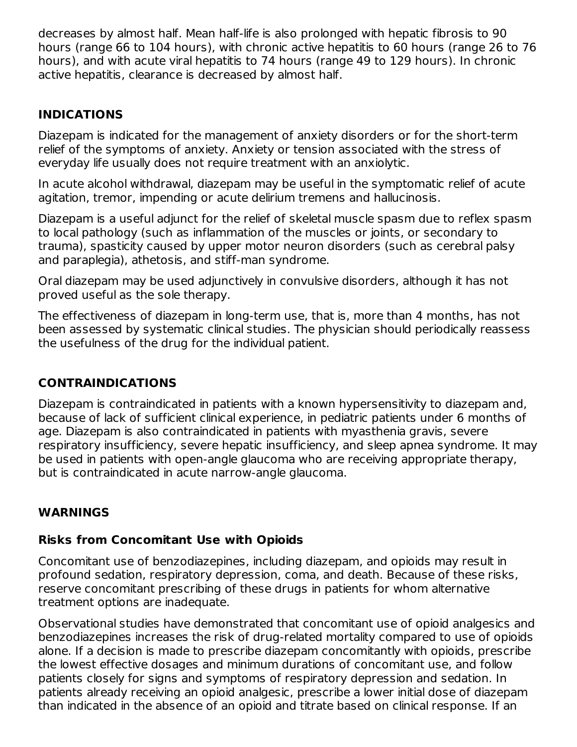decreases by almost half. Mean half-life is also prolonged with hepatic fibrosis to 90 hours (range 66 to 104 hours), with chronic active hepatitis to 60 hours (range 26 to 76 hours), and with acute viral hepatitis to 74 hours (range 49 to 129 hours). In chronic active hepatitis, clearance is decreased by almost half.

#### **INDICATIONS**

Diazepam is indicated for the management of anxiety disorders or for the short-term relief of the symptoms of anxiety. Anxiety or tension associated with the stress of everyday life usually does not require treatment with an anxiolytic.

In acute alcohol withdrawal, diazepam may be useful in the symptomatic relief of acute agitation, tremor, impending or acute delirium tremens and hallucinosis.

Diazepam is a useful adjunct for the relief of skeletal muscle spasm due to reflex spasm to local pathology (such as inflammation of the muscles or joints, or secondary to trauma), spasticity caused by upper motor neuron disorders (such as cerebral palsy and paraplegia), athetosis, and stiff-man syndrome.

Oral diazepam may be used adjunctively in convulsive disorders, although it has not proved useful as the sole therapy.

The effectiveness of diazepam in long-term use, that is, more than 4 months, has not been assessed by systematic clinical studies. The physician should periodically reassess the usefulness of the drug for the individual patient.

### **CONTRAINDICATIONS**

Diazepam is contraindicated in patients with a known hypersensitivity to diazepam and, because of lack of sufficient clinical experience, in pediatric patients under 6 months of age. Diazepam is also contraindicated in patients with myasthenia gravis, severe respiratory insufficiency, severe hepatic insufficiency, and sleep apnea syndrome. It may be used in patients with open-angle glaucoma who are receiving appropriate therapy, but is contraindicated in acute narrow-angle glaucoma.

#### **WARNINGS**

#### **Risks from Concomitant Use with Opioids**

Concomitant use of benzodiazepines, including diazepam, and opioids may result in profound sedation, respiratory depression, coma, and death. Because of these risks, reserve concomitant prescribing of these drugs in patients for whom alternative treatment options are inadequate.

Observational studies have demonstrated that concomitant use of opioid analgesics and benzodiazepines increases the risk of drug-related mortality compared to use of opioids alone. If a decision is made to prescribe diazepam concomitantly with opioids, prescribe the lowest effective dosages and minimum durations of concomitant use, and follow patients closely for signs and symptoms of respiratory depression and sedation. In patients already receiving an opioid analgesic, prescribe a lower initial dose of diazepam than indicated in the absence of an opioid and titrate based on clinical response. If an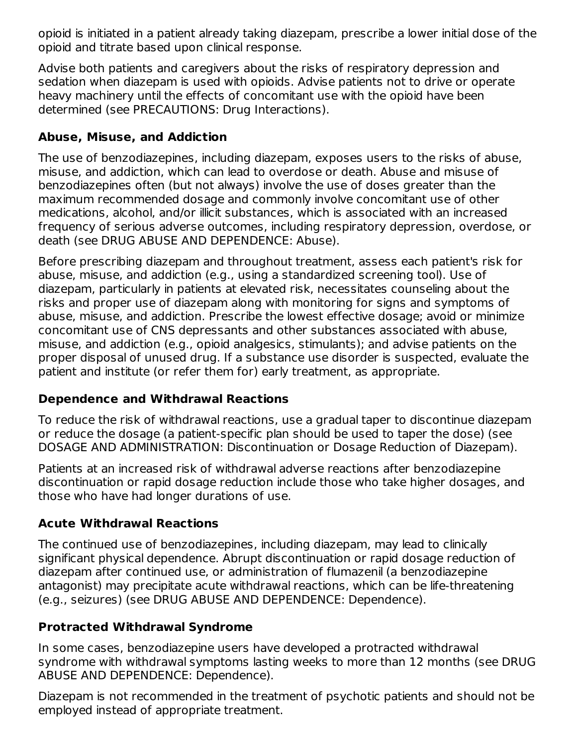opioid is initiated in a patient already taking diazepam, prescribe a lower initial dose of the opioid and titrate based upon clinical response.

Advise both patients and caregivers about the risks of respiratory depression and sedation when diazepam is used with opioids. Advise patients not to drive or operate heavy machinery until the effects of concomitant use with the opioid have been determined (see PRECAUTIONS: Drug Interactions).

## **Abuse, Misuse, and Addiction**

The use of benzodiazepines, including diazepam, exposes users to the risks of abuse, misuse, and addiction, which can lead to overdose or death. Abuse and misuse of benzodiazepines often (but not always) involve the use of doses greater than the maximum recommended dosage and commonly involve concomitant use of other medications, alcohol, and/or illicit substances, which is associated with an increased frequency of serious adverse outcomes, including respiratory depression, overdose, or death (see DRUG ABUSE AND DEPENDENCE: Abuse).

Before prescribing diazepam and throughout treatment, assess each patient's risk for abuse, misuse, and addiction (e.g., using a standardized screening tool). Use of diazepam, particularly in patients at elevated risk, necessitates counseling about the risks and proper use of diazepam along with monitoring for signs and symptoms of abuse, misuse, and addiction. Prescribe the lowest effective dosage; avoid or minimize concomitant use of CNS depressants and other substances associated with abuse, misuse, and addiction (e.g., opioid analgesics, stimulants); and advise patients on the proper disposal of unused drug. If a substance use disorder is suspected, evaluate the patient and institute (or refer them for) early treatment, as appropriate.

### **Dependence and Withdrawal Reactions**

To reduce the risk of withdrawal reactions, use a gradual taper to discontinue diazepam or reduce the dosage (a patient-specific plan should be used to taper the dose) (see DOSAGE AND ADMINISTRATION: Discontinuation or Dosage Reduction of Diazepam).

Patients at an increased risk of withdrawal adverse reactions after benzodiazepine discontinuation or rapid dosage reduction include those who take higher dosages, and those who have had longer durations of use.

### **Acute Withdrawal Reactions**

The continued use of benzodiazepines, including diazepam, may lead to clinically significant physical dependence. Abrupt discontinuation or rapid dosage reduction of diazepam after continued use, or administration of flumazenil (a benzodiazepine antagonist) may precipitate acute withdrawal reactions, which can be life-threatening (e.g., seizures) (see DRUG ABUSE AND DEPENDENCE: Dependence).

### **Protracted Withdrawal Syndrome**

In some cases, benzodiazepine users have developed a protracted withdrawal syndrome with withdrawal symptoms lasting weeks to more than 12 months (see DRUG ABUSE AND DEPENDENCE: Dependence).

Diazepam is not recommended in the treatment of psychotic patients and should not be employed instead of appropriate treatment.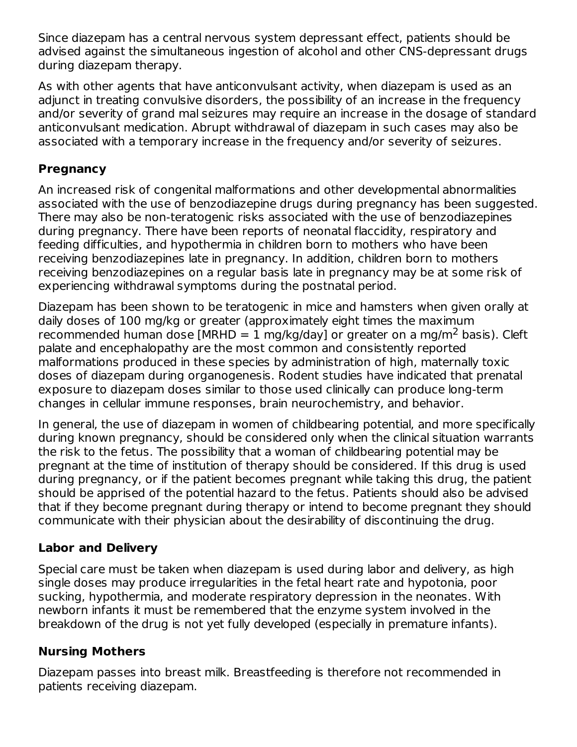Since diazepam has a central nervous system depressant effect, patients should be advised against the simultaneous ingestion of alcohol and other CNS-depressant drugs during diazepam therapy.

As with other agents that have anticonvulsant activity, when diazepam is used as an adjunct in treating convulsive disorders, the possibility of an increase in the frequency and/or severity of grand mal seizures may require an increase in the dosage of standard anticonvulsant medication. Abrupt withdrawal of diazepam in such cases may also be associated with a temporary increase in the frequency and/or severity of seizures.

#### **Pregnancy**

An increased risk of congenital malformations and other developmental abnormalities associated with the use of benzodiazepine drugs during pregnancy has been suggested. There may also be non-teratogenic risks associated with the use of benzodiazepines during pregnancy. There have been reports of neonatal flaccidity, respiratory and feeding difficulties, and hypothermia in children born to mothers who have been receiving benzodiazepines late in pregnancy. In addition, children born to mothers receiving benzodiazepines on a regular basis late in pregnancy may be at some risk of experiencing withdrawal symptoms during the postnatal period.

Diazepam has been shown to be teratogenic in mice and hamsters when given orally at daily doses of 100 mg/kg or greater (approximately eight times the maximum recommended human dose [MRHD = 1 mg/kg/day] or greater on a mg/m<sup>2</sup> basis). Cleft palate and encephalopathy are the most common and consistently reported malformations produced in these species by administration of high, maternally toxic doses of diazepam during organogenesis. Rodent studies have indicated that prenatal exposure to diazepam doses similar to those used clinically can produce long-term changes in cellular immune responses, brain neurochemistry, and behavior.

In general, the use of diazepam in women of childbearing potential, and more specifically during known pregnancy, should be considered only when the clinical situation warrants the risk to the fetus. The possibility that a woman of childbearing potential may be pregnant at the time of institution of therapy should be considered. If this drug is used during pregnancy, or if the patient becomes pregnant while taking this drug, the patient should be apprised of the potential hazard to the fetus. Patients should also be advised that if they become pregnant during therapy or intend to become pregnant they should communicate with their physician about the desirability of discontinuing the drug.

### **Labor and Delivery**

Special care must be taken when diazepam is used during labor and delivery, as high single doses may produce irregularities in the fetal heart rate and hypotonia, poor sucking, hypothermia, and moderate respiratory depression in the neonates. With newborn infants it must be remembered that the enzyme system involved in the breakdown of the drug is not yet fully developed (especially in premature infants).

### **Nursing Mothers**

Diazepam passes into breast milk. Breastfeeding is therefore not recommended in patients receiving diazepam.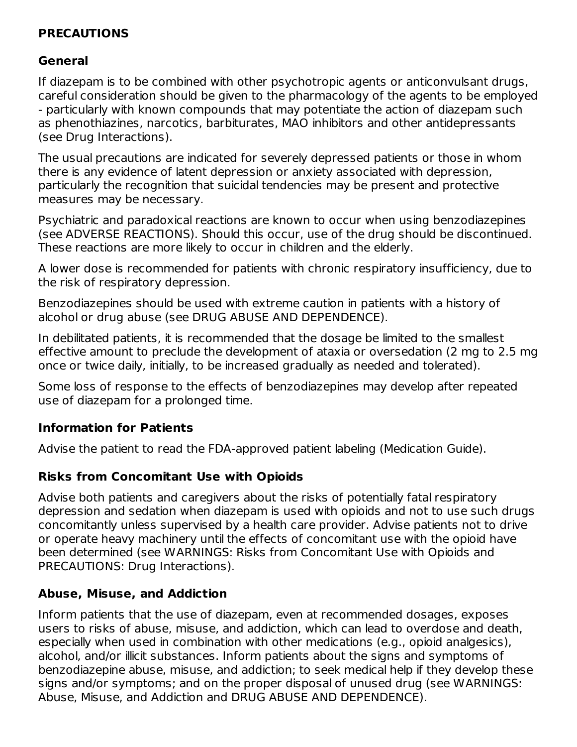#### **PRECAUTIONS**

### **General**

If diazepam is to be combined with other psychotropic agents or anticonvulsant drugs, careful consideration should be given to the pharmacology of the agents to be employed - particularly with known compounds that may potentiate the action of diazepam such as phenothiazines, narcotics, barbiturates, MAO inhibitors and other antidepressants (see Drug Interactions).

The usual precautions are indicated for severely depressed patients or those in whom there is any evidence of latent depression or anxiety associated with depression, particularly the recognition that suicidal tendencies may be present and protective measures may be necessary.

Psychiatric and paradoxical reactions are known to occur when using benzodiazepines (see ADVERSE REACTIONS). Should this occur, use of the drug should be discontinued. These reactions are more likely to occur in children and the elderly.

A lower dose is recommended for patients with chronic respiratory insufficiency, due to the risk of respiratory depression.

Benzodiazepines should be used with extreme caution in patients with a history of alcohol or drug abuse (see DRUG ABUSE AND DEPENDENCE).

In debilitated patients, it is recommended that the dosage be limited to the smallest effective amount to preclude the development of ataxia or oversedation (2 mg to 2.5 mg once or twice daily, initially, to be increased gradually as needed and tolerated).

Some loss of response to the effects of benzodiazepines may develop after repeated use of diazepam for a prolonged time.

### **Information for Patients**

Advise the patient to read the FDA-approved patient labeling (Medication Guide).

# **Risks from Concomitant Use with Opioids**

Advise both patients and caregivers about the risks of potentially fatal respiratory depression and sedation when diazepam is used with opioids and not to use such drugs concomitantly unless supervised by a health care provider. Advise patients not to drive or operate heavy machinery until the effects of concomitant use with the opioid have been determined (see WARNINGS: Risks from Concomitant Use with Opioids and PRECAUTIONS: Drug Interactions).

# **Abuse, Misuse, and Addiction**

Inform patients that the use of diazepam, even at recommended dosages, exposes users to risks of abuse, misuse, and addiction, which can lead to overdose and death, especially when used in combination with other medications (e.g., opioid analgesics), alcohol, and/or illicit substances. Inform patients about the signs and symptoms of benzodiazepine abuse, misuse, and addiction; to seek medical help if they develop these signs and/or symptoms; and on the proper disposal of unused drug (see WARNINGS: Abuse, Misuse, and Addiction and DRUG ABUSE AND DEPENDENCE).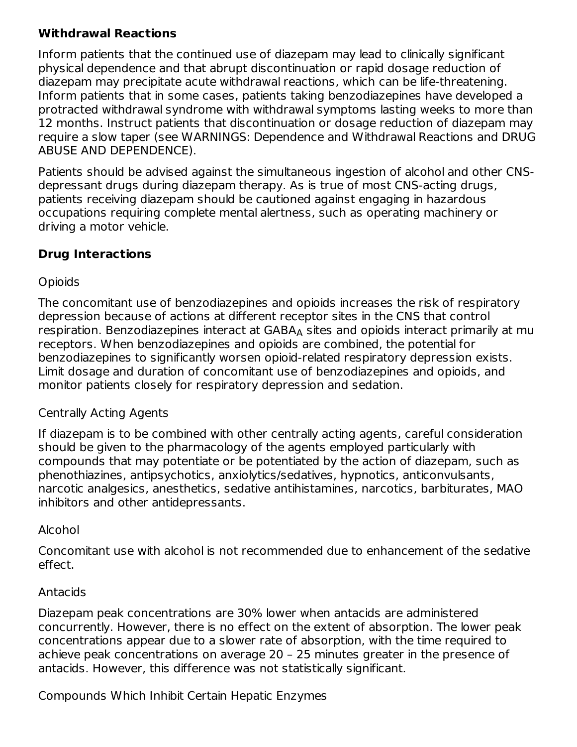### **Withdrawal Reactions**

Inform patients that the continued use of diazepam may lead to clinically significant physical dependence and that abrupt discontinuation or rapid dosage reduction of diazepam may precipitate acute withdrawal reactions, which can be life-threatening. Inform patients that in some cases, patients taking benzodiazepines have developed a protracted withdrawal syndrome with withdrawal symptoms lasting weeks to more than 12 months. Instruct patients that discontinuation or dosage reduction of diazepam may require a slow taper (see WARNINGS: Dependence and Withdrawal Reactions and DRUG ABUSE AND DEPENDENCE).

Patients should be advised against the simultaneous ingestion of alcohol and other CNSdepressant drugs during diazepam therapy. As is true of most CNS-acting drugs, patients receiving diazepam should be cautioned against engaging in hazardous occupations requiring complete mental alertness, such as operating machinery or driving a motor vehicle.

### **Drug Interactions**

#### **Opioids**

The concomitant use of benzodiazepines and opioids increases the risk of respiratory depression because of actions at different receptor sites in the CNS that control respiration. Benzodiazepines interact at  $\mathsf{GABA}_\mathsf{A}$  sites and opioids interact primarily at mu receptors. When benzodiazepines and opioids are combined, the potential for benzodiazepines to significantly worsen opioid-related respiratory depression exists. Limit dosage and duration of concomitant use of benzodiazepines and opioids, and monitor patients closely for respiratory depression and sedation.

#### Centrally Acting Agents

If diazepam is to be combined with other centrally acting agents, careful consideration should be given to the pharmacology of the agents employed particularly with compounds that may potentiate or be potentiated by the action of diazepam, such as phenothiazines, antipsychotics, anxiolytics/sedatives, hypnotics, anticonvulsants, narcotic analgesics, anesthetics, sedative antihistamines, narcotics, barbiturates, MAO inhibitors and other antidepressants.

#### Alcohol

Concomitant use with alcohol is not recommended due to enhancement of the sedative effect.

#### Antacids

Diazepam peak concentrations are 30% lower when antacids are administered concurrently. However, there is no effect on the extent of absorption. The lower peak concentrations appear due to a slower rate of absorption, with the time required to achieve peak concentrations on average 20 – 25 minutes greater in the presence of antacids. However, this difference was not statistically significant.

Compounds Which Inhibit Certain Hepatic Enzymes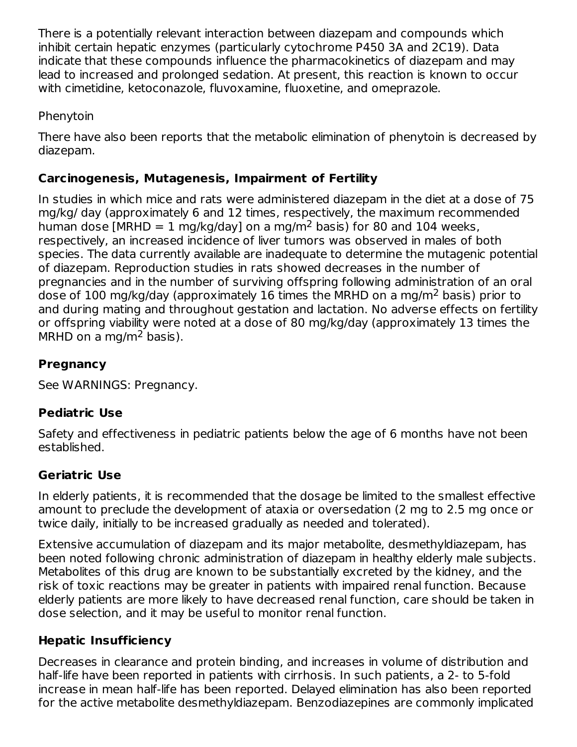There is a potentially relevant interaction between diazepam and compounds which inhibit certain hepatic enzymes (particularly cytochrome P450 3A and 2C19). Data indicate that these compounds influence the pharmacokinetics of diazepam and may lead to increased and prolonged sedation. At present, this reaction is known to occur with cimetidine, ketoconazole, fluvoxamine, fluoxetine, and omeprazole.

#### Phenytoin

There have also been reports that the metabolic elimination of phenytoin is decreased by diazepam.

### **Carcinogenesis, Mutagenesis, Impairment of Fertility**

In studies in which mice and rats were administered diazepam in the diet at a dose of 75 mg/kg/ day (approximately 6 and 12 times, respectively, the maximum recommended human dose [MRHD = 1 mg/kg/day] on a mg/m<sup>2</sup> basis) for 80 and 104 weeks, respectively, an increased incidence of liver tumors was observed in males of both species. The data currently available are inadequate to determine the mutagenic potential of diazepam. Reproduction studies in rats showed decreases in the number of pregnancies and in the number of surviving offspring following administration of an oral dose of 100 mg/kg/day (approximately 16 times the MRHD on a mg/m<sup>2</sup> basis) prior to and during mating and throughout gestation and lactation. No adverse effects on fertility or offspring viability were noted at a dose of 80 mg/kg/day (approximately 13 times the MRHD on a mg/m<sup>2</sup> basis).

## **Pregnancy**

See WARNINGS: Pregnancy.

### **Pediatric Use**

Safety and effectiveness in pediatric patients below the age of 6 months have not been established.

# **Geriatric Use**

In elderly patients, it is recommended that the dosage be limited to the smallest effective amount to preclude the development of ataxia or oversedation (2 mg to 2.5 mg once or twice daily, initially to be increased gradually as needed and tolerated).

Extensive accumulation of diazepam and its major metabolite, desmethyldiazepam, has been noted following chronic administration of diazepam in healthy elderly male subjects. Metabolites of this drug are known to be substantially excreted by the kidney, and the risk of toxic reactions may be greater in patients with impaired renal function. Because elderly patients are more likely to have decreased renal function, care should be taken in dose selection, and it may be useful to monitor renal function.

### **Hepatic Insufficiency**

Decreases in clearance and protein binding, and increases in volume of distribution and half-life have been reported in patients with cirrhosis. In such patients, a 2- to 5-fold increase in mean half-life has been reported. Delayed elimination has also been reported for the active metabolite desmethyldiazepam. Benzodiazepines are commonly implicated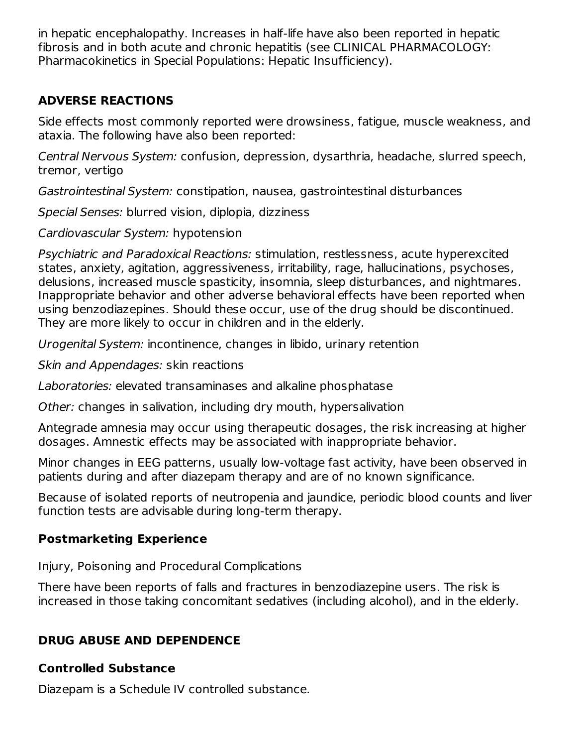in hepatic encephalopathy. Increases in half-life have also been reported in hepatic fibrosis and in both acute and chronic hepatitis (see CLINICAL PHARMACOLOGY: Pharmacokinetics in Special Populations: Hepatic Insufficiency).

### **ADVERSE REACTIONS**

Side effects most commonly reported were drowsiness, fatigue, muscle weakness, and ataxia. The following have also been reported:

Central Nervous System: confusion, depression, dysarthria, headache, slurred speech, tremor, vertigo

Gastrointestinal System: constipation, nausea, gastrointestinal disturbances

Special Senses: blurred vision, diplopia, dizziness

Cardiovascular System: hypotension

Psychiatric and Paradoxical Reactions: stimulation, restlessness, acute hyperexcited states, anxiety, agitation, aggressiveness, irritability, rage, hallucinations, psychoses, delusions, increased muscle spasticity, insomnia, sleep disturbances, and nightmares. Inappropriate behavior and other adverse behavioral effects have been reported when using benzodiazepines. Should these occur, use of the drug should be discontinued. They are more likely to occur in children and in the elderly.

Urogenital System: incontinence, changes in libido, urinary retention

Skin and Appendages: skin reactions

Laboratories: elevated transaminases and alkaline phosphatase

Other: changes in salivation, including dry mouth, hypersalivation

Antegrade amnesia may occur using therapeutic dosages, the risk increasing at higher dosages. Amnestic effects may be associated with inappropriate behavior.

Minor changes in EEG patterns, usually low-voltage fast activity, have been observed in patients during and after diazepam therapy and are of no known significance.

Because of isolated reports of neutropenia and jaundice, periodic blood counts and liver function tests are advisable during long-term therapy.

# **Postmarketing Experience**

Injury, Poisoning and Procedural Complications

There have been reports of falls and fractures in benzodiazepine users. The risk is increased in those taking concomitant sedatives (including alcohol), and in the elderly.

# **DRUG ABUSE AND DEPENDENCE**

# **Controlled Substance**

Diazepam is a Schedule IV controlled substance.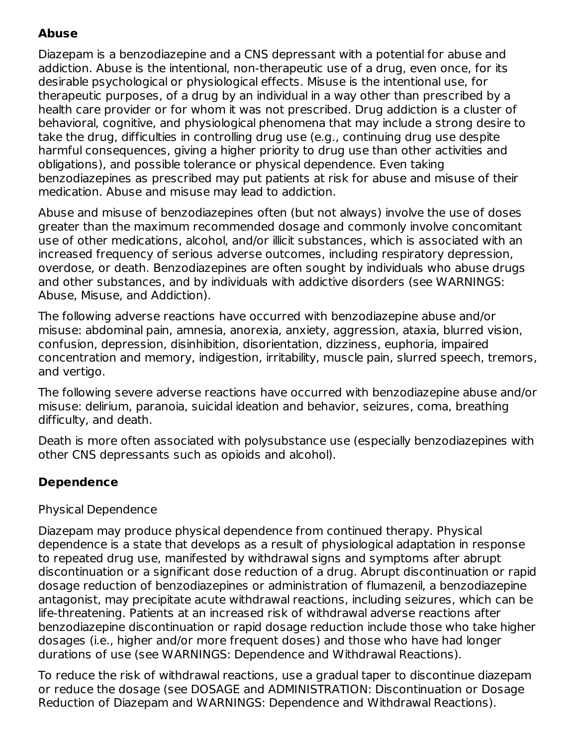# **Abuse**

Diazepam is a benzodiazepine and a CNS depressant with a potential for abuse and addiction. Abuse is the intentional, non-therapeutic use of a drug, even once, for its desirable psychological or physiological effects. Misuse is the intentional use, for therapeutic purposes, of a drug by an individual in a way other than prescribed by a health care provider or for whom it was not prescribed. Drug addiction is a cluster of behavioral, cognitive, and physiological phenomena that may include a strong desire to take the drug, difficulties in controlling drug use (e.g., continuing drug use despite harmful consequences, giving a higher priority to drug use than other activities and obligations), and possible tolerance or physical dependence. Even taking benzodiazepines as prescribed may put patients at risk for abuse and misuse of their medication. Abuse and misuse may lead to addiction.

Abuse and misuse of benzodiazepines often (but not always) involve the use of doses greater than the maximum recommended dosage and commonly involve concomitant use of other medications, alcohol, and/or illicit substances, which is associated with an increased frequency of serious adverse outcomes, including respiratory depression, overdose, or death. Benzodiazepines are often sought by individuals who abuse drugs and other substances, and by individuals with addictive disorders (see WARNINGS: Abuse, Misuse, and Addiction).

The following adverse reactions have occurred with benzodiazepine abuse and/or misuse: abdominal pain, amnesia, anorexia, anxiety, aggression, ataxia, blurred vision, confusion, depression, disinhibition, disorientation, dizziness, euphoria, impaired concentration and memory, indigestion, irritability, muscle pain, slurred speech, tremors, and vertigo.

The following severe adverse reactions have occurred with benzodiazepine abuse and/or misuse: delirium, paranoia, suicidal ideation and behavior, seizures, coma, breathing difficulty, and death.

Death is more often associated with polysubstance use (especially benzodiazepines with other CNS depressants such as opioids and alcohol).

# **Dependence**

### Physical Dependence

Diazepam may produce physical dependence from continued therapy. Physical dependence is a state that develops as a result of physiological adaptation in response to repeated drug use, manifested by withdrawal signs and symptoms after abrupt discontinuation or a significant dose reduction of a drug. Abrupt discontinuation or rapid dosage reduction of benzodiazepines or administration of flumazenil, a benzodiazepine antagonist, may precipitate acute withdrawal reactions, including seizures, which can be life-threatening. Patients at an increased risk of withdrawal adverse reactions after benzodiazepine discontinuation or rapid dosage reduction include those who take higher dosages (i.e., higher and/or more frequent doses) and those who have had longer durations of use (see WARNINGS: Dependence and Withdrawal Reactions).

To reduce the risk of withdrawal reactions, use a gradual taper to discontinue diazepam or reduce the dosage (see DOSAGE and ADMINISTRATION: Discontinuation or Dosage Reduction of Diazepam and WARNINGS: Dependence and Withdrawal Reactions).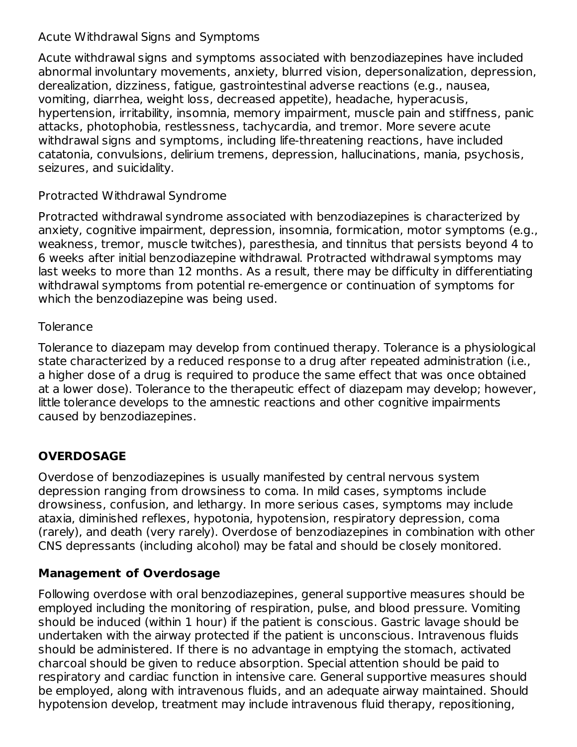#### Acute Withdrawal Signs and Symptoms

Acute withdrawal signs and symptoms associated with benzodiazepines have included abnormal involuntary movements, anxiety, blurred vision, depersonalization, depression, derealization, dizziness, fatigue, gastrointestinal adverse reactions (e.g., nausea, vomiting, diarrhea, weight loss, decreased appetite), headache, hyperacusis, hypertension, irritability, insomnia, memory impairment, muscle pain and stiffness, panic attacks, photophobia, restlessness, tachycardia, and tremor. More severe acute withdrawal signs and symptoms, including life-threatening reactions, have included catatonia, convulsions, delirium tremens, depression, hallucinations, mania, psychosis, seizures, and suicidality.

### Protracted Withdrawal Syndrome

Protracted withdrawal syndrome associated with benzodiazepines is characterized by anxiety, cognitive impairment, depression, insomnia, formication, motor symptoms (e.g., weakness, tremor, muscle twitches), paresthesia, and tinnitus that persists beyond 4 to 6 weeks after initial benzodiazepine withdrawal. Protracted withdrawal symptoms may last weeks to more than 12 months. As a result, there may be difficulty in differentiating withdrawal symptoms from potential re-emergence or continuation of symptoms for which the benzodiazepine was being used.

### **Tolerance**

Tolerance to diazepam may develop from continued therapy. Tolerance is a physiological state characterized by a reduced response to a drug after repeated administration (i.e., a higher dose of a drug is required to produce the same effect that was once obtained at a lower dose). Tolerance to the therapeutic effect of diazepam may develop; however, little tolerance develops to the amnestic reactions and other cognitive impairments caused by benzodiazepines.

# **OVERDOSAGE**

Overdose of benzodiazepines is usually manifested by central nervous system depression ranging from drowsiness to coma. In mild cases, symptoms include drowsiness, confusion, and lethargy. In more serious cases, symptoms may include ataxia, diminished reflexes, hypotonia, hypotension, respiratory depression, coma (rarely), and death (very rarely). Overdose of benzodiazepines in combination with other CNS depressants (including alcohol) may be fatal and should be closely monitored.

# **Management of Overdosage**

Following overdose with oral benzodiazepines, general supportive measures should be employed including the monitoring of respiration, pulse, and blood pressure. Vomiting should be induced (within 1 hour) if the patient is conscious. Gastric lavage should be undertaken with the airway protected if the patient is unconscious. Intravenous fluids should be administered. If there is no advantage in emptying the stomach, activated charcoal should be given to reduce absorption. Special attention should be paid to respiratory and cardiac function in intensive care. General supportive measures should be employed, along with intravenous fluids, and an adequate airway maintained. Should hypotension develop, treatment may include intravenous fluid therapy, repositioning,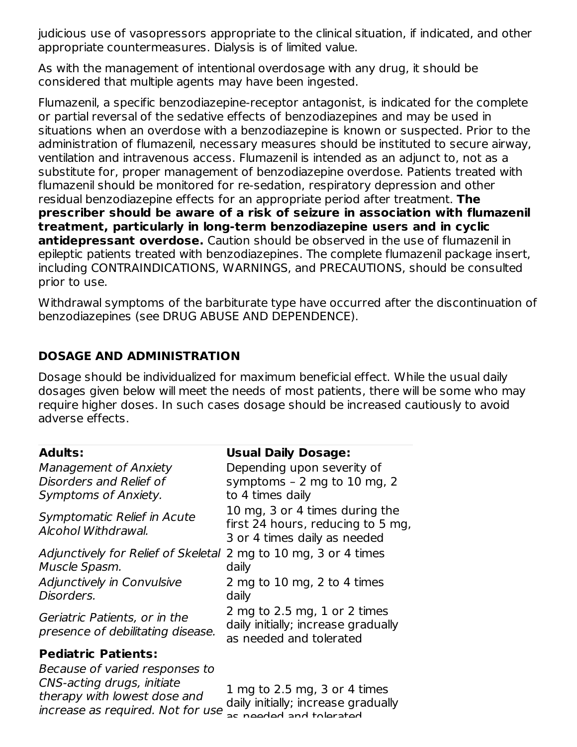judicious use of vasopressors appropriate to the clinical situation, if indicated, and other appropriate countermeasures. Dialysis is of limited value.

As with the management of intentional overdosage with any drug, it should be considered that multiple agents may have been ingested.

Flumazenil, a specific benzodiazepine-receptor antagonist, is indicated for the complete or partial reversal of the sedative effects of benzodiazepines and may be used in situations when an overdose with a benzodiazepine is known or suspected. Prior to the administration of flumazenil, necessary measures should be instituted to secure airway, ventilation and intravenous access. Flumazenil is intended as an adjunct to, not as a substitute for, proper management of benzodiazepine overdose. Patients treated with flumazenil should be monitored for re-sedation, respiratory depression and other residual benzodiazepine effects for an appropriate period after treatment. **The prescriber should be aware of a risk of seizure in association with flumazenil treatment, particularly in long-term benzodiazepine users and in cyclic antidepressant overdose.** Caution should be observed in the use of flumazenil in epileptic patients treated with benzodiazepines. The complete flumazenil package insert, including CONTRAINDICATIONS, WARNINGS, and PRECAUTIONS, should be consulted prior to use.

Withdrawal symptoms of the barbiturate type have occurred after the discontinuation of benzodiazepines (see DRUG ABUSE AND DEPENDENCE).

## **DOSAGE AND ADMINISTRATION**

Dosage should be individualized for maximum beneficial effect. While the usual daily dosages given below will meet the needs of most patients, there will be some who may require higher doses. In such cases dosage should be increased cautiously to avoid adverse effects.

| <b>Adults:</b>                                                                               | <b>Usual Daily Dosage:</b>                                                                          |  |
|----------------------------------------------------------------------------------------------|-----------------------------------------------------------------------------------------------------|--|
| <b>Management of Anxiety</b><br>Disorders and Relief of<br>Symptoms of Anxiety.              | Depending upon severity of<br>symptoms - 2 mg to 10 mg, 2<br>to 4 times daily                       |  |
| Symptomatic Relief in Acute<br>Alcohol Withdrawal.                                           | 10 mg, 3 or 4 times during the<br>first 24 hours, reducing to 5 mg,<br>3 or 4 times daily as needed |  |
| Adjunctively for Relief of Skeletal 2 mg to 10 mg, 3 or 4 times<br>Muscle Spasm.             | daily                                                                                               |  |
| Adjunctively in Convulsive<br>Disorders.                                                     | 2 mg to 10 mg, 2 to 4 times<br>daily                                                                |  |
| Geriatric Patients, or in the<br>presence of debilitating disease.                           | 2 mg to 2.5 mg, 1 or 2 times<br>daily initially; increase gradually<br>as needed and tolerated      |  |
| <b>Pediatric Patients:</b>                                                                   |                                                                                                     |  |
| Because of varied responses to<br>CNS-acting drugs, initiate<br>therapy with lowest dose and | 1 mg to 2.5 mg, 3 or 4 times<br>$\lambda$ oik $\iota$ initially: increase aradually                 |  |

increase as required. Not for use addy initially, included give daily initially; increase gradually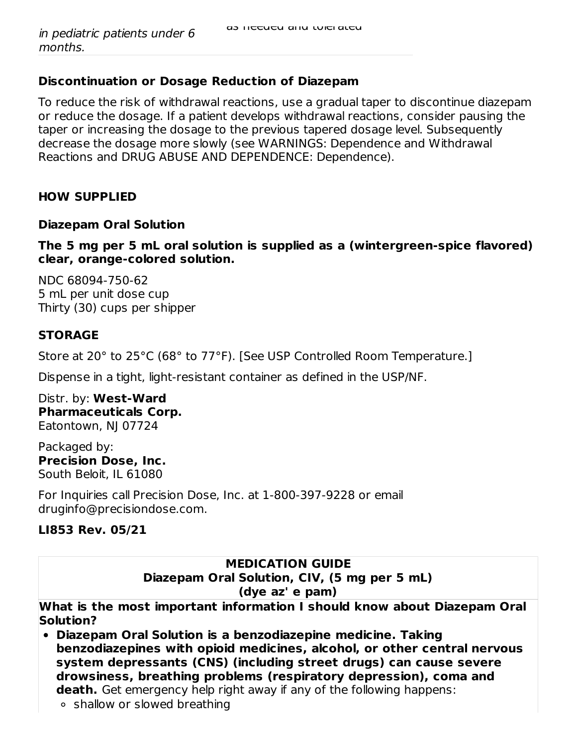#### **Discontinuation or Dosage Reduction of Diazepam**

To reduce the risk of withdrawal reactions, use a gradual taper to discontinue diazepam or reduce the dosage. If a patient develops withdrawal reactions, consider pausing the taper or increasing the dosage to the previous tapered dosage level. Subsequently decrease the dosage more slowly (see WARNINGS: Dependence and Withdrawal Reactions and DRUG ABUSE AND DEPENDENCE: Dependence).

#### **HOW SUPPLIED**

#### **Diazepam Oral Solution**

**The 5 mg per 5 mL oral solution is supplied as a (wintergreen-spice flavored) clear, orange-colored solution.**

NDC 68094-750-62 5 mL per unit dose cup Thirty (30) cups per shipper

#### **STORAGE**

Store at 20° to 25°C (68° to 77°F). [See USP Controlled Room Temperature.]

Dispense in a tight, light-resistant container as defined in the USP/NF.

Distr. by: **West-Ward Pharmaceuticals Corp.** Eatontown, NJ 07724

Packaged by: **Precision Dose, Inc.** South Beloit, IL 61080

For Inquiries call Precision Dose, Inc. at 1-800-397-9228 or email druginfo@precisiondose.com.

#### **LI853 Rev. 05/21**

#### **MEDICATION GUIDE Diazepam Oral Solution, CIV, (5 mg per 5 mL) (dye az' e pam)**

**What is the most important information I should know about Diazepam Oral Solution?**

- **Diazepam Oral Solution is a benzodiazepine medicine. Taking benzodiazepines with opioid medicines, alcohol, or other central nervous system depressants (CNS) (including street drugs) can cause severe drowsiness, breathing problems (respiratory depression), coma and death.** Get emergency help right away if any of the following happens:
	- shallow or slowed breathing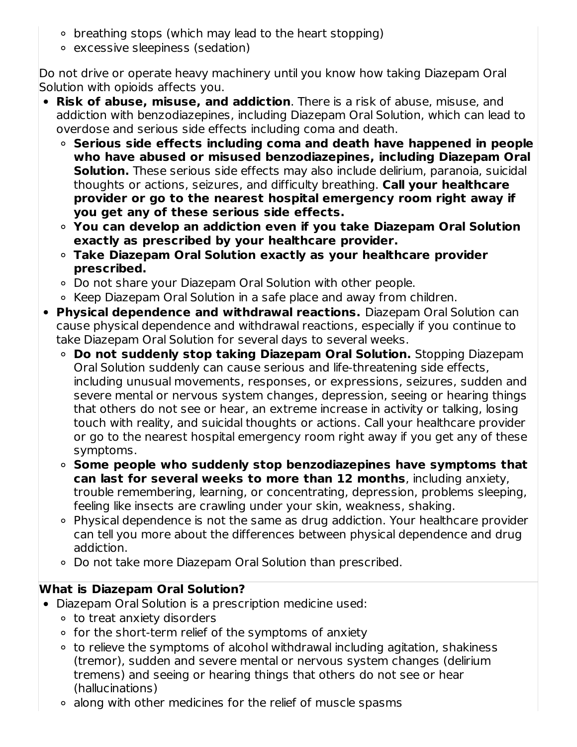- breathing stops (which may lead to the heart stopping)
- excessive sleepiness (sedation)

Do not drive or operate heavy machinery until you know how taking Diazepam Oral Solution with opioids affects you.

- **Risk of abuse, misuse, and addiction**. There is a risk of abuse, misuse, and addiction with benzodiazepines, including Diazepam Oral Solution, which can lead to overdose and serious side effects including coma and death.
	- **Serious side effects including coma and death have happened in people who have abused or misused benzodiazepines, including Diazepam Oral Solution.** These serious side effects may also include delirium, paranoia, suicidal thoughts or actions, seizures, and difficulty breathing. **Call your healthcare provider or go to the nearest hospital emergency room right away if you get any of these serious side effects.**
	- **You can develop an addiction even if you take Diazepam Oral Solution exactly as prescribed by your healthcare provider.**
	- **Take Diazepam Oral Solution exactly as your healthcare provider prescribed.**
	- Do not share your Diazepam Oral Solution with other people.
	- Keep Diazepam Oral Solution in a safe place and away from children.
- **Physical dependence and withdrawal reactions.** Diazepam Oral Solution can cause physical dependence and withdrawal reactions, especially if you continue to take Diazepam Oral Solution for several days to several weeks.
	- **Do not suddenly stop taking Diazepam Oral Solution.** Stopping Diazepam Oral Solution suddenly can cause serious and life-threatening side effects, including unusual movements, responses, or expressions, seizures, sudden and severe mental or nervous system changes, depression, seeing or hearing things that others do not see or hear, an extreme increase in activity or talking, losing touch with reality, and suicidal thoughts or actions. Call your healthcare provider or go to the nearest hospital emergency room right away if you get any of these symptoms.
	- **Some people who suddenly stop benzodiazepines have symptoms that can last for several weeks to more than 12 months**, including anxiety, trouble remembering, learning, or concentrating, depression, problems sleeping, feeling like insects are crawling under your skin, weakness, shaking.
	- Physical dependence is not the same as drug addiction. Your healthcare provider can tell you more about the differences between physical dependence and drug addiction.
	- Do not take more Diazepam Oral Solution than prescribed.

# **What is Diazepam Oral Solution?**

- Diazepam Oral Solution is a prescription medicine used:
	- to treat anxiety disorders
	- $\circ$  for the short-term relief of the symptoms of anxiety
	- to relieve the symptoms of alcohol withdrawal including agitation, shakiness (tremor), sudden and severe mental or nervous system changes (delirium tremens) and seeing or hearing things that others do not see or hear (hallucinations)
	- along with other medicines for the relief of muscle spasms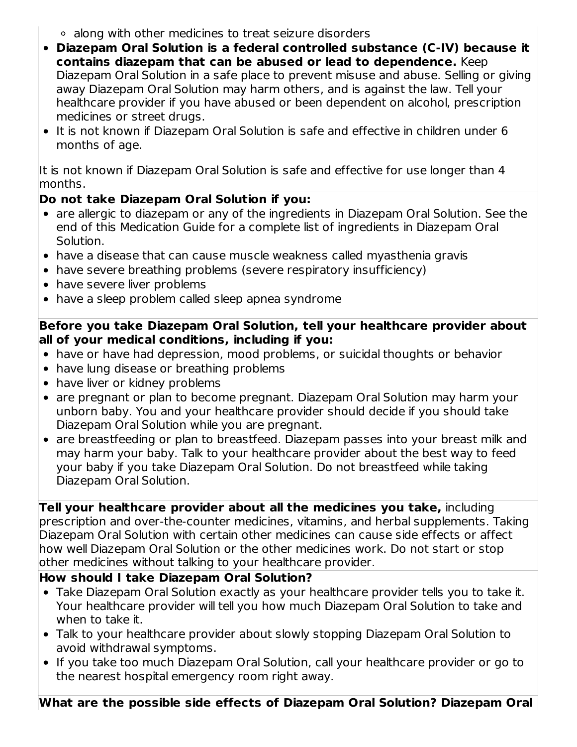- along with other medicines to treat seizure disorders
- **Diazepam Oral Solution is a federal controlled substance (C-IV) because it contains diazepam that can be abused or lead to dependence.** Keep Diazepam Oral Solution in a safe place to prevent misuse and abuse. Selling or giving away Diazepam Oral Solution may harm others, and is against the law. Tell your healthcare provider if you have abused or been dependent on alcohol, prescription medicines or street drugs.
- It is not known if Diazepam Oral Solution is safe and effective in children under 6 months of age.

It is not known if Diazepam Oral Solution is safe and effective for use longer than 4 months.

### **Do not take Diazepam Oral Solution if you:**

- are allergic to diazepam or any of the ingredients in Diazepam Oral Solution. See the end of this Medication Guide for a complete list of ingredients in Diazepam Oral Solution.
- have a disease that can cause muscle weakness called myasthenia gravis
- have severe breathing problems (severe respiratory insufficiency)
- have severe liver problems
- have a sleep problem called sleep apnea syndrome

#### **Before you take Diazepam Oral Solution, tell your healthcare provider about all of your medical conditions, including if you:**

- have or have had depression, mood problems, or suicidal thoughts or behavior
- have lung disease or breathing problems
- have liver or kidney problems
- are pregnant or plan to become pregnant. Diazepam Oral Solution may harm your unborn baby. You and your healthcare provider should decide if you should take Diazepam Oral Solution while you are pregnant.
- are breastfeeding or plan to breastfeed. Diazepam passes into your breast milk and may harm your baby. Talk to your healthcare provider about the best way to feed your baby if you take Diazepam Oral Solution. Do not breastfeed while taking Diazepam Oral Solution.

**Tell your healthcare provider about all the medicines you take,** including prescription and over-the-counter medicines, vitamins, and herbal supplements. Taking Diazepam Oral Solution with certain other medicines can cause side effects or affect how well Diazepam Oral Solution or the other medicines work. Do not start or stop other medicines without talking to your healthcare provider.

### **How should I take Diazepam Oral Solution?**

- Take Diazepam Oral Solution exactly as your healthcare provider tells you to take it. Your healthcare provider will tell you how much Diazepam Oral Solution to take and when to take it.
- Talk to your healthcare provider about slowly stopping Diazepam Oral Solution to avoid withdrawal symptoms.
- If you take too much Diazepam Oral Solution, call your healthcare provider or go to the nearest hospital emergency room right away.

**What are the possible side effects of Diazepam Oral Solution? Diazepam Oral**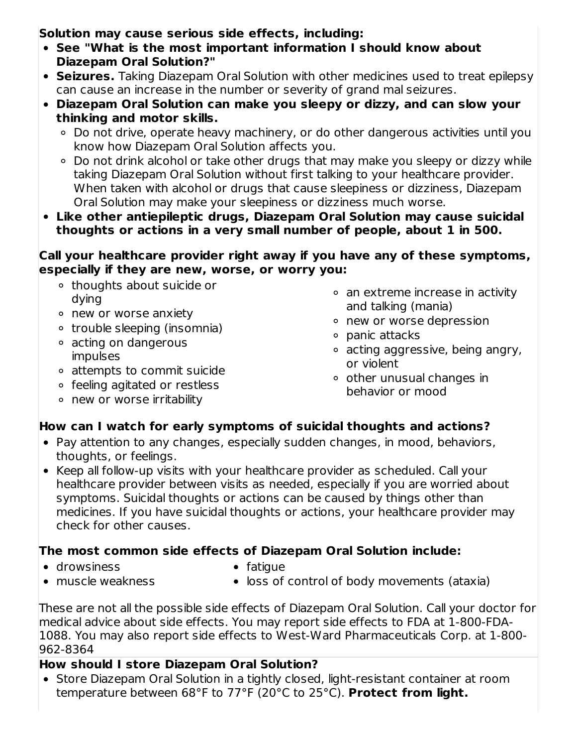**Solution may cause serious side effects, including:**

- **See "What is the most important information I should know about Diazepam Oral Solution?"**
- **Seizures.** Taking Diazepam Oral Solution with other medicines used to treat epilepsy can cause an increase in the number or severity of grand mal seizures.
- **Diazepam Oral Solution can make you sleepy or dizzy, and can slow your thinking and motor skills.**
	- Do not drive, operate heavy machinery, or do other dangerous activities until you know how Diazepam Oral Solution affects you.
	- Do not drink alcohol or take other drugs that may make you sleepy or dizzy while taking Diazepam Oral Solution without first talking to your healthcare provider. When taken with alcohol or drugs that cause sleepiness or dizziness, Diazepam Oral Solution may make your sleepiness or dizziness much worse.
- **Like other antiepileptic drugs, Diazepam Oral Solution may cause suicidal thoughts or actions in a very small number of people, about 1 in 500.**

#### **Call your healthcare provider right away if you have any of these symptoms, especially if they are new, worse, or worry you:**

- thoughts about suicide or dying
- new or worse anxiety
- trouble sleeping (insomnia)
- acting on dangerous impulses
- attempts to commit suicide
- feeling agitated or restless
- new or worse irritability
- an extreme increase in activity and talking (mania)
- new or worse depression
- o panic attacks
- acting aggressive, being angry, or violent
- $\circ$  other unusual changes in behavior or mood

# **How can I watch for early symptoms of suicidal thoughts and actions?**

- Pay attention to any changes, especially sudden changes, in mood, behaviors, thoughts, or feelings.
- Keep all follow-up visits with your healthcare provider as scheduled. Call your healthcare provider between visits as needed, especially if you are worried about symptoms. Suicidal thoughts or actions can be caused by things other than medicines. If you have suicidal thoughts or actions, your healthcare provider may check for other causes.

# **The most common side effects of Diazepam Oral Solution include:**

drowsiness

- $\bullet$  fatigue
- muscle weakness
- loss of control of body movements (ataxia)

These are not all the possible side effects of Diazepam Oral Solution. Call your doctor for medical advice about side effects. You may report side effects to FDA at 1-800-FDA-1088. You may also report side effects to West-Ward Pharmaceuticals Corp. at 1-800- 962-8364

# **How should I store Diazepam Oral Solution?**

• Store Diazepam Oral Solution in a tightly closed, light-resistant container at room temperature between 68°F to 77°F (20°C to 25°C). **Protect from light.**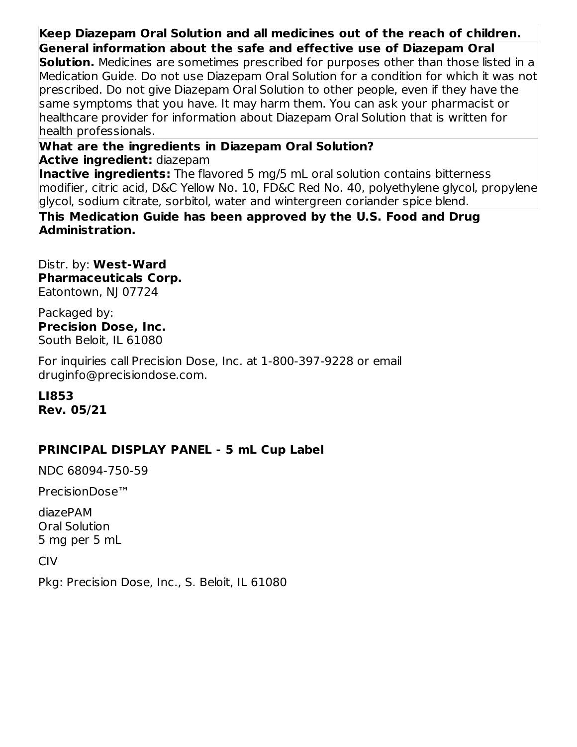# **Keep Diazepam Oral Solution and all medicines out of the reach of children.**

**General information about the safe and effective use of Diazepam Oral**

**Solution.** Medicines are sometimes prescribed for purposes other than those listed in a Medication Guide. Do not use Diazepam Oral Solution for a condition for which it was not prescribed. Do not give Diazepam Oral Solution to other people, even if they have the same symptoms that you have. It may harm them. You can ask your pharmacist or healthcare provider for information about Diazepam Oral Solution that is written for health professionals.

**What are the ingredients in Diazepam Oral Solution?**

**Active ingredient:** diazepam

**Inactive ingredients:** The flavored 5 mg/5 mL oral solution contains bitterness modifier, citric acid, D&C Yellow No. 10, FD&C Red No. 40, polyethylene glycol, propylene glycol, sodium citrate, sorbitol, water and wintergreen coriander spice blend.

**This Medication Guide has been approved by the U.S. Food and Drug Administration.**

Distr. by: **West-Ward Pharmaceuticals Corp.** Eatontown, NJ 07724

Packaged by: **Precision Dose, Inc.** South Beloit, IL 61080

For inquiries call Precision Dose, Inc. at 1-800-397-9228 or email druginfo@precisiondose.com.

**LI853 Rev. 05/21**

### **PRINCIPAL DISPLAY PANEL - 5 mL Cup Label**

NDC 68094-750-59

PrecisionDose™

diazePAM Oral Solution 5 mg per 5 mL

CIV

Pkg: Precision Dose, Inc., S. Beloit, IL 61080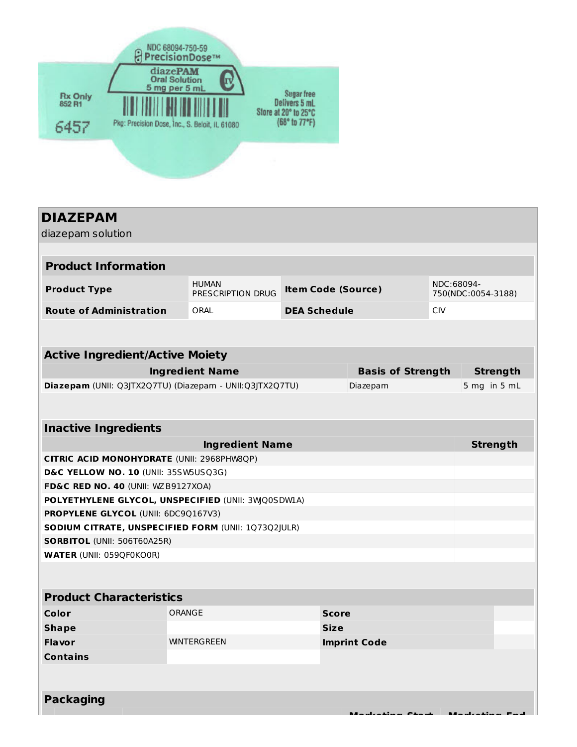

# **DIAZEPAM** diazepam solution **Product Information Product Type** HUMAN PRESCRIPTION DRUG **Item Code (Source)** NDC:68094- 750(NDC:0054-3188) **Route of Administration** ORAL **DEA Schedule** CIV **Active Ingredient/Active Moiety Ingredient Name Basis of Strength Strength Diazepam** (UNII: Q3JTX2Q7TU) (Diazepam - UNII:Q3JTX2Q7TU) Diazepam 5 mg in 5 mL **Inactive Ingredients Ingredient Name Strength CITRIC ACID MONOHYDRATE** (UNII: 2968PHW8QP) **D&C YELLOW NO. 10** (UNII: 35SW5USQ3G) **FD&C RED NO. 40** (UNII: WZB9127XOA) **POLYETHYLENE GLYCOL, UNSPECIFIED** (UNII: 3WQ0SDW1A) **PROPYLENE GLYCOL** (UNII: 6DC9Q167V3) **SODIUM CITRATE, UNSPECIFIED FORM** (UNII: 1Q73Q2JULR) **SORBITOL** (UNII: 506T60A25R) **WATER** (UNII: 059QF0KO0R) **Product Characteristics Color Color Score ORANGE Score Shape Size Flavor** WINTERGREEN **Imprint Code Contains Packaging Marketing Start Marketing End**